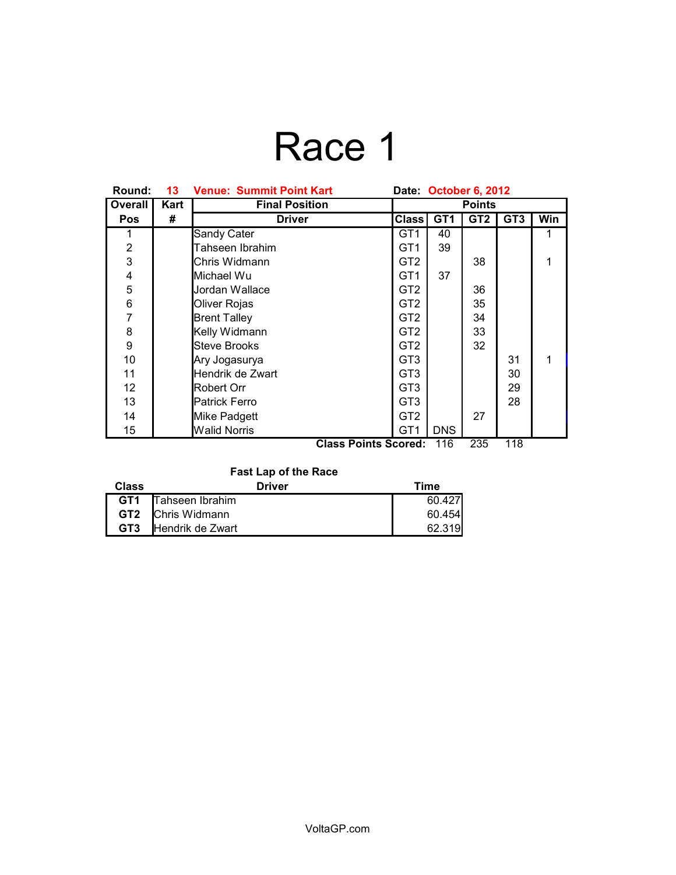# Race 1

| Round:                  | 13   | <b>Venue: Summit Point Kart</b> | Date October 6, 2012 |                 |                 |                 |     |
|-------------------------|------|---------------------------------|----------------------|-----------------|-----------------|-----------------|-----|
| Overall                 | Kart | <b>Final Position</b>           | <b>Points</b>        |                 |                 |                 |     |
| <b>Pos</b>              | #    | <b>Driver</b>                   | <b>Class</b>         | GT <sub>1</sub> | GT <sub>2</sub> | GT <sub>3</sub> | Win |
|                         |      | <b>Sandy Cater</b>              | GT1                  | 40              |                 |                 | 1   |
| $\overline{2}$          |      | Tahseen Ibrahim                 | GT1                  | 39              |                 |                 |     |
| 3                       |      | Chris Widmann                   | GT2                  |                 | 38              |                 | 1   |
| $\overline{\mathbf{4}}$ |      | Michael Wu                      | GT1                  | 37              |                 |                 |     |
| 5                       |      | Jordan Wallace                  | GT2                  |                 | 36              |                 |     |
| 6                       |      | Oliver Rojas                    | GT <sub>2</sub>      |                 | 35              |                 |     |
| $\overline{7}$          |      | <b>Brent Talley</b>             | GT <sub>2</sub>      |                 | 34              |                 |     |
| 8                       |      | Kelly Widmann                   | GT <sub>2</sub>      |                 | 33              |                 |     |
| 9                       |      | Steve Brooks                    | GT <sub>2</sub>      |                 | 32              |                 |     |
| 10                      |      | Ary Jogasurya                   | GT3                  |                 |                 | 31              | 1   |
| 11                      |      | Hendrik de Zwart                | GT3                  |                 |                 | 30              |     |
| 12                      |      | Robert Orr                      | GT3                  |                 |                 | 29              |     |
| 13                      |      | Patrick Ferro                   | GT3                  |                 |                 | 28              |     |
| 14                      |      | Mike Padgett                    | GT <sub>2</sub>      |                 | 27              |                 |     |
| 15                      |      | <b>Walid Norris</b>             | GT <sub>1</sub>      | <b>DNS</b>      |                 |                 |     |
|                         |      | <b>Class Points Scored:</b>     |                      | 116             | 235             | 118             |     |

### **Fast Lap of the Race**

| Class           | <b>Driver</b>            | Time   |  |  |
|-----------------|--------------------------|--------|--|--|
| GT1             | Tahseen Ibrahim          | 60.427 |  |  |
|                 | <b>GT2</b> Chris Widmann | 60.454 |  |  |
| GT <sub>3</sub> | Hendrik de Zwart         | 62.319 |  |  |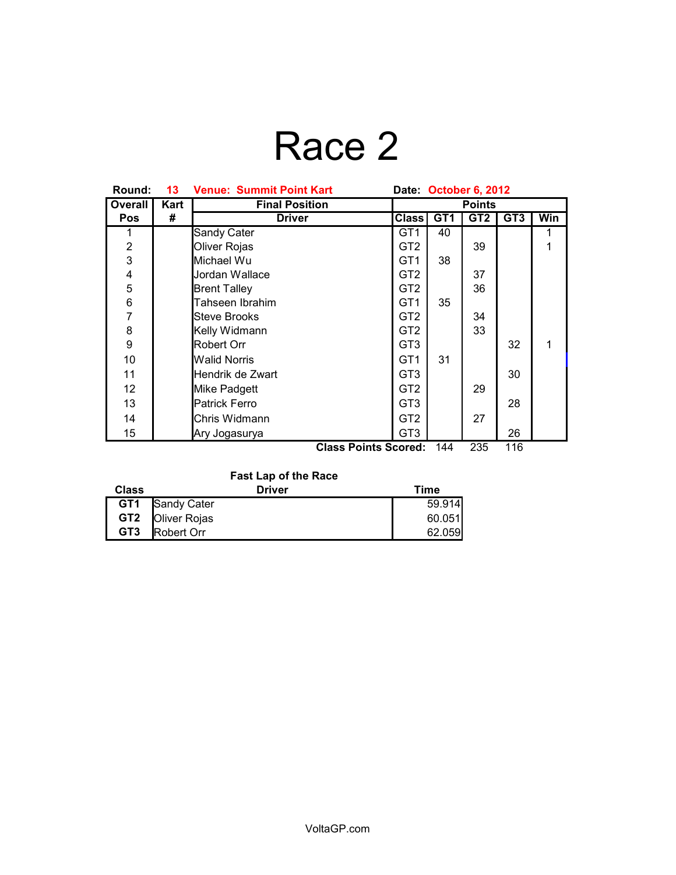# Race 2

| Round:                                           | 13   | <b>Venue: Summit Point Kart</b> | Date: October 6, 2012 |                 |                 |                 |     |
|--------------------------------------------------|------|---------------------------------|-----------------------|-----------------|-----------------|-----------------|-----|
| Overall                                          | Kart | <b>Final Position</b>           | <b>Points</b>         |                 |                 |                 |     |
| <b>Pos</b>                                       | #    | <b>Driver</b>                   | <b>Class</b>          | GT <sub>1</sub> | GT <sub>2</sub> | GT <sub>3</sub> | Win |
| 1                                                |      | Sandy Cater                     | GT1                   | 40              |                 |                 | 1   |
| $\overline{2}$                                   |      | Oliver Rojas                    | GT <sub>2</sub>       |                 | 39              |                 |     |
| 3                                                |      | Michael Wu                      | GT1                   | 38              |                 |                 |     |
| 4                                                |      | Jordan Wallace                  | GT <sub>2</sub>       |                 | 37              |                 |     |
| 5                                                |      | <b>Brent Talley</b>             | GT <sub>2</sub>       |                 | 36              |                 |     |
| $\,6$                                            |      | Tahseen Ibrahim                 | GT <sub>1</sub>       | 35              |                 |                 |     |
| $\overline{7}$                                   |      | <b>Steve Brooks</b>             | GT <sub>2</sub>       |                 | 34              |                 |     |
| 8                                                |      | Kelly Widmann                   | GT <sub>2</sub>       |                 | 33              |                 |     |
| $\boldsymbol{9}$                                 |      | <b>Robert Orr</b>               | GT <sub>3</sub>       |                 |                 | 32              | 1   |
| 10                                               |      | <b>Walid Norris</b>             | GT <sub>1</sub>       | 31              |                 |                 |     |
| 11                                               |      | Hendrik de Zwart                | GT <sub>3</sub>       |                 |                 | 30              |     |
| 12                                               |      | Mike Padgett                    | GT <sub>2</sub>       |                 | 29              |                 |     |
| 13                                               |      | <b>Patrick Ferro</b>            | GT <sub>3</sub>       |                 |                 | 28              |     |
| 14                                               |      | Chris Widmann                   | GT <sub>2</sub>       |                 | 27              |                 |     |
| 15                                               |      | Ary Jogasurya                   | GT <sub>3</sub>       |                 |                 | 26              |     |
| <b>Class Points Scored:</b><br>144<br>235<br>116 |      |                                 |                       |                 |                 |                 |     |

### **Fast Lap of the Race**

| <b>Class</b>    | <b>Driver</b>           | Time   |
|-----------------|-------------------------|--------|
|                 | <b>GT1</b> Sandy Cater  | 59.914 |
|                 | <b>GT2 Oliver Rojas</b> | 60.051 |
| GT <sub>3</sub> | Robert Orr              | 62.059 |